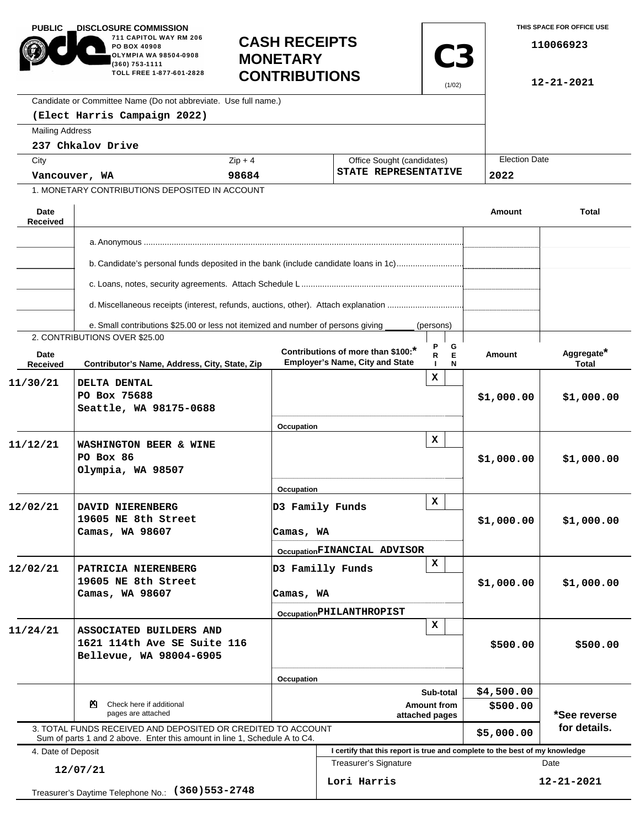| <b>PUBLIC</b>                                                   | <b>_DISCLOSURE COMMISSION</b><br>711 CAPITOL WAY RM 206<br><b>CASH RECEIPTS</b><br>PO BOX 40908<br>OLYMPIA WA 98504-0908<br><b>MONETARY</b><br>(360) 753-1111<br>TOLL FREE 1-877-601-2828<br><b>CONTRIBUTIONS</b> |            |                                                                              | <b>C3</b><br>(1/02)                                | THIS SPACE FOR OFFICE USE<br>110066923<br>12-21-2021 |                                                                                     |  |
|-----------------------------------------------------------------|-------------------------------------------------------------------------------------------------------------------------------------------------------------------------------------------------------------------|------------|------------------------------------------------------------------------------|----------------------------------------------------|------------------------------------------------------|-------------------------------------------------------------------------------------|--|
|                                                                 | Candidate or Committee Name (Do not abbreviate. Use full name.)                                                                                                                                                   |            |                                                                              |                                                    |                                                      |                                                                                     |  |
|                                                                 | (Elect Harris Campaign 2022)                                                                                                                                                                                      |            |                                                                              |                                                    |                                                      |                                                                                     |  |
| <b>Mailing Address</b>                                          |                                                                                                                                                                                                                   |            |                                                                              |                                                    |                                                      |                                                                                     |  |
|                                                                 | 237 Chkalov Drive                                                                                                                                                                                                 |            |                                                                              |                                                    | <b>Election Date</b>                                 |                                                                                     |  |
| City                                                            |                                                                                                                                                                                                                   | $Zip + 4$  |                                                                              | Office Sought (candidates)<br>STATE REPRESENTATIVE |                                                      |                                                                                     |  |
| Vancouver, WA<br>1. MONETARY CONTRIBUTIONS DEPOSITED IN ACCOUNT |                                                                                                                                                                                                                   | 98684      |                                                                              |                                                    |                                                      |                                                                                     |  |
|                                                                 |                                                                                                                                                                                                                   |            |                                                                              |                                                    |                                                      |                                                                                     |  |
| Date<br><b>Received</b>                                         |                                                                                                                                                                                                                   |            |                                                                              |                                                    | <b>Amount</b>                                        | <b>Total</b>                                                                        |  |
|                                                                 |                                                                                                                                                                                                                   |            |                                                                              |                                                    |                                                      |                                                                                     |  |
|                                                                 | b. Candidate's personal funds deposited in the bank (include candidate loans in 1c)                                                                                                                               |            |                                                                              |                                                    |                                                      |                                                                                     |  |
|                                                                 |                                                                                                                                                                                                                   |            |                                                                              |                                                    |                                                      |                                                                                     |  |
|                                                                 | d. Miscellaneous receipts (interest, refunds, auctions, other). Attach explanation                                                                                                                                |            |                                                                              |                                                    |                                                      |                                                                                     |  |
|                                                                 |                                                                                                                                                                                                                   |            |                                                                              |                                                    |                                                      |                                                                                     |  |
|                                                                 | e. Small contributions \$25.00 or less not itemized and number of persons giving<br>2. CONTRIBUTIONS OVER \$25.00                                                                                                 |            |                                                                              | (persons)                                          |                                                      |                                                                                     |  |
| Date<br>Received                                                | Contributor's Name, Address, City, State, Zip                                                                                                                                                                     |            | Contributions of more than \$100:*<br><b>Employer's Name, City and State</b> | G<br>E<br>R<br>N                                   | <b>Amount</b>                                        | Aggregate*<br>Total                                                                 |  |
| 11/30/21                                                        | DELTA DENTAL                                                                                                                                                                                                      |            |                                                                              | x                                                  |                                                      |                                                                                     |  |
|                                                                 | PO Box 75688                                                                                                                                                                                                      |            |                                                                              |                                                    | \$1,000.00                                           | \$1,000.00                                                                          |  |
|                                                                 | Seattle, WA 98175-0688                                                                                                                                                                                            |            |                                                                              |                                                    |                                                      |                                                                                     |  |
|                                                                 |                                                                                                                                                                                                                   | Occupation |                                                                              |                                                    |                                                      |                                                                                     |  |
| 11/12/21                                                        | WASHINGTON BEER & WINE                                                                                                                                                                                            |            |                                                                              | x                                                  |                                                      |                                                                                     |  |
|                                                                 | PO Box 86                                                                                                                                                                                                         |            |                                                                              |                                                    | \$1,000.00                                           | \$1,000.00                                                                          |  |
|                                                                 | Olympia, WA 98507                                                                                                                                                                                                 |            |                                                                              |                                                    |                                                      |                                                                                     |  |
|                                                                 |                                                                                                                                                                                                                   | Occupation |                                                                              |                                                    |                                                      |                                                                                     |  |
| 12/02/21                                                        | DAVID NIERENBERG                                                                                                                                                                                                  |            | D3 Family Funds                                                              | x                                                  |                                                      |                                                                                     |  |
|                                                                 | 19605 NE 8th Street                                                                                                                                                                                               |            | Camas, WA                                                                    |                                                    | \$1,000.00                                           | \$1,000.00                                                                          |  |
|                                                                 | Camas, WA 98607                                                                                                                                                                                                   |            |                                                                              |                                                    |                                                      |                                                                                     |  |
|                                                                 |                                                                                                                                                                                                                   |            | OccupationFINANCIAL ADVISOR                                                  |                                                    |                                                      |                                                                                     |  |
| 12/02/21                                                        | PATRICIA NIERENBERG                                                                                                                                                                                               |            | D3 Familly Funds                                                             | $\mathbf x$                                        |                                                      |                                                                                     |  |
|                                                                 | 19605 NE 8th Street                                                                                                                                                                                               |            | Camas, WA                                                                    |                                                    | \$1,000.00                                           | \$1,000.00                                                                          |  |
|                                                                 | Camas, WA 98607                                                                                                                                                                                                   |            |                                                                              |                                                    |                                                      |                                                                                     |  |
|                                                                 |                                                                                                                                                                                                                   |            | OccupationPHILANTHROPIST                                                     | $\mathbf x$                                        |                                                      |                                                                                     |  |
| 11/24/21                                                        | ASSOCIATED BUILDERS AND                                                                                                                                                                                           |            |                                                                              | \$500.00                                           | \$500.00                                             |                                                                                     |  |
|                                                                 | 1621 114th Ave SE Suite 116                                                                                                                                                                                       |            |                                                                              |                                                    |                                                      |                                                                                     |  |
|                                                                 | Bellevue, WA 98004-6905                                                                                                                                                                                           |            |                                                                              |                                                    |                                                      |                                                                                     |  |
|                                                                 |                                                                                                                                                                                                                   | Occupation |                                                                              |                                                    |                                                      |                                                                                     |  |
|                                                                 |                                                                                                                                                                                                                   |            | Sub-total                                                                    |                                                    |                                                      |                                                                                     |  |
| Check here if additional<br>⊠<br>pages are attached             |                                                                                                                                                                                                                   |            | <b>Amount from</b><br>attached pages                                         |                                                    |                                                      | *See reverse                                                                        |  |
|                                                                 | 3. TOTAL FUNDS RECEIVED AND DEPOSITED OR CREDITED TO ACCOUNT                                                                                                                                                      |            |                                                                              |                                                    |                                                      | for details.                                                                        |  |
|                                                                 | Sum of parts 1 and 2 above. Enter this amount in line 1, Schedule A to C4.                                                                                                                                        |            |                                                                              |                                                    | \$5,000.00                                           |                                                                                     |  |
| 4. Date of Deposit                                              |                                                                                                                                                                                                                   |            | Treasurer's Signature                                                        |                                                    |                                                      | I certify that this report is true and complete to the best of my knowledge<br>Date |  |
|                                                                 | 12/07/21                                                                                                                                                                                                          |            | Lori Harris                                                                  |                                                    |                                                      | $12 - 21 - 2021$                                                                    |  |
|                                                                 | Treasurer's Daytime Telephone No.: (360) 553-2748                                                                                                                                                                 |            |                                                                              |                                                    |                                                      |                                                                                     |  |